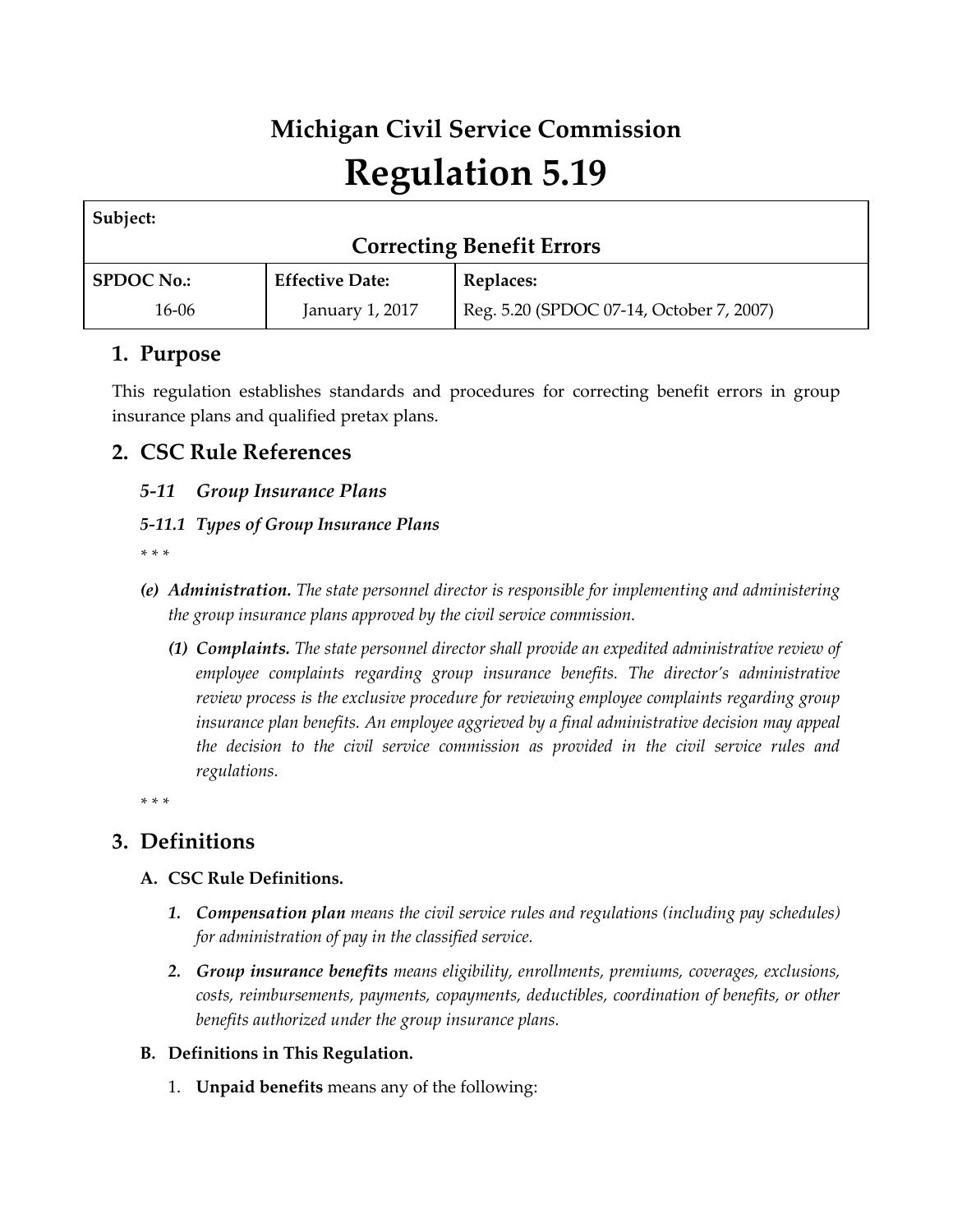# **Michigan Civil Service Commission Regulation 5.19**

| Subject:                         |                        |                                          |
|----------------------------------|------------------------|------------------------------------------|
| <b>Correcting Benefit Errors</b> |                        |                                          |
| <b>SPDOC No.:</b>                | <b>Effective Date:</b> | Replaces:                                |
| 16-06                            | January 1, 2017        | Reg. 5.20 (SPDOC 07-14, October 7, 2007) |

# **1. Purpose**

This regulation establishes standards and procedures for correcting benefit errors in group insurance plans and qualified pretax plans.

# **2. CSC Rule References**

# *5-11 Group Insurance Plans*

# *5-11.1 Types of Group Insurance Plans*

*\* \* \** 

- *(e) Administration. The state personnel director is responsible for implementing and administering the group insurance plans approved by the civil service commission.*
	- *(1) Complaints. The state personnel director shall provide an expedited administrative review of employee complaints regarding group insurance benefits. The director's administrative review process is the exclusive procedure for reviewing employee complaints regarding group insurance plan benefits. An employee aggrieved by a final administrative decision may appeal the decision to the civil service commission as provided in the civil service rules and regulations.*

*\* \* \** 

# **3. Definitions**

# **A. CSC Rule Definitions.**

- *1. Compensation plan means the civil service rules and regulations (including pay schedules) for administration of pay in the classified service.*
- *2. Group insurance benefits means eligibility, enrollments, premiums, coverages, exclusions, costs, reimbursements, payments, copayments, deductibles, coordination of benefits, or other benefits authorized under the group insurance plans.*

# **B. Definitions in This Regulation.**

1. **Unpaid benefits** means any of the following: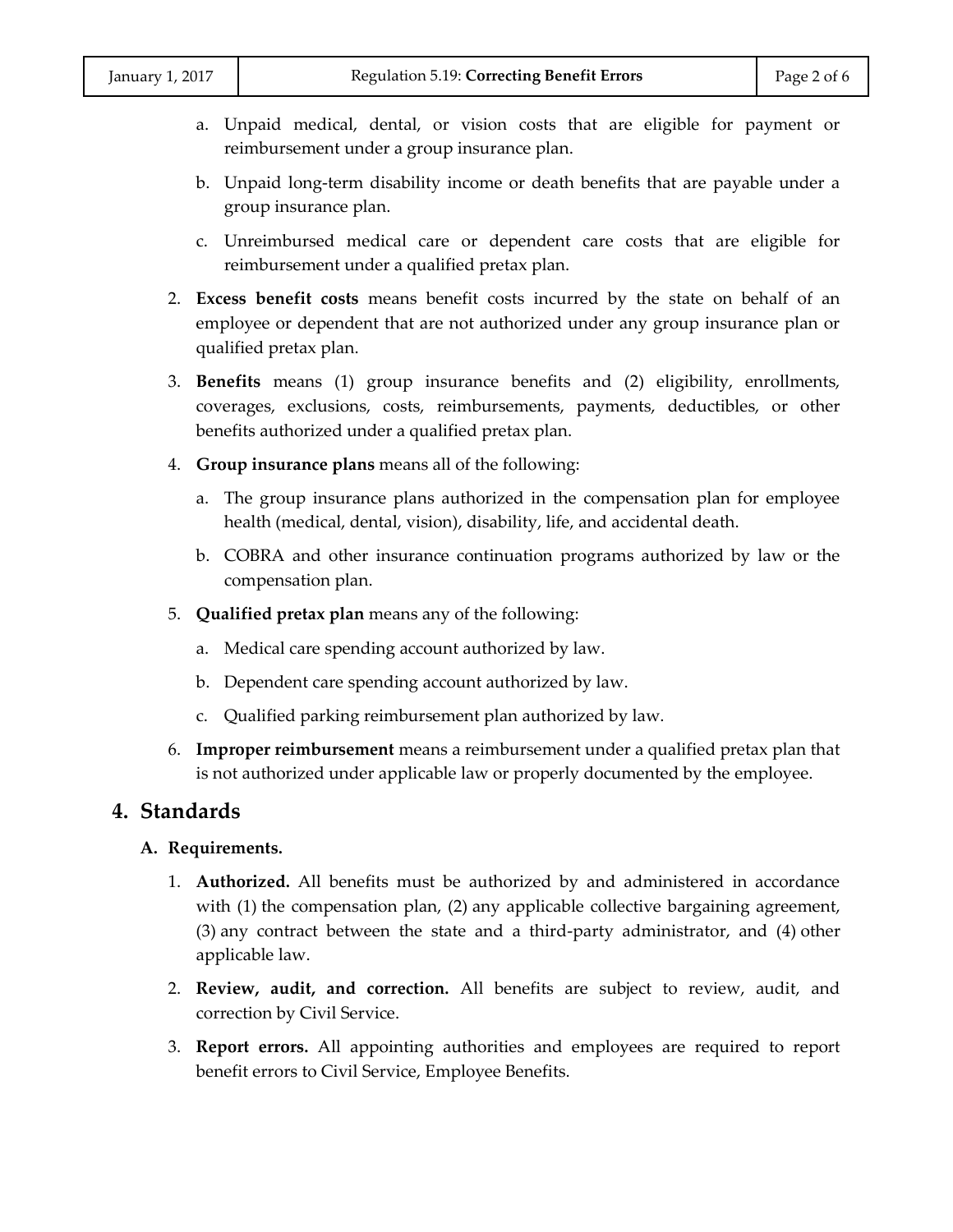- a. Unpaid medical, dental, or vision costs that are eligible for payment or reimbursement under a group insurance plan.
- b. Unpaid long-term disability income or death benefits that are payable under a group insurance plan.
- c. Unreimbursed medical care or dependent care costs that are eligible for reimbursement under a qualified pretax plan.
- 2. **Excess benefit costs** means benefit costs incurred by the state on behalf of an employee or dependent that are not authorized under any group insurance plan or qualified pretax plan.
- 3. **Benefits** means (1) group insurance benefits and (2) eligibility, enrollments, coverages, exclusions, costs, reimbursements, payments, deductibles, or other benefits authorized under a qualified pretax plan.
- 4. **Group insurance plans** means all of the following:
	- a. The group insurance plans authorized in the compensation plan for employee health (medical, dental, vision), disability, life, and accidental death.
	- b. COBRA and other insurance continuation programs authorized by law or the compensation plan.
- 5. **Qualified pretax plan** means any of the following:
	- a. Medical care spending account authorized by law.
	- b. Dependent care spending account authorized by law.
	- c. Qualified parking reimbursement plan authorized by law.
- 6. **Improper reimbursement** means a reimbursement under a qualified pretax plan that is not authorized under applicable law or properly documented by the employee.

## **4. Standards**

#### **A. Requirements.**

- 1. **Authorized.** All benefits must be authorized by and administered in accordance with (1) the compensation plan, (2) any applicable collective bargaining agreement, (3) any contract between the state and a third-party administrator, and (4) other applicable law.
- 2. **Review, audit, and correction.** All benefits are subject to review, audit, and correction by Civil Service.
- 3. **Report errors.** All appointing authorities and employees are required to report benefit errors to Civil Service, Employee Benefits.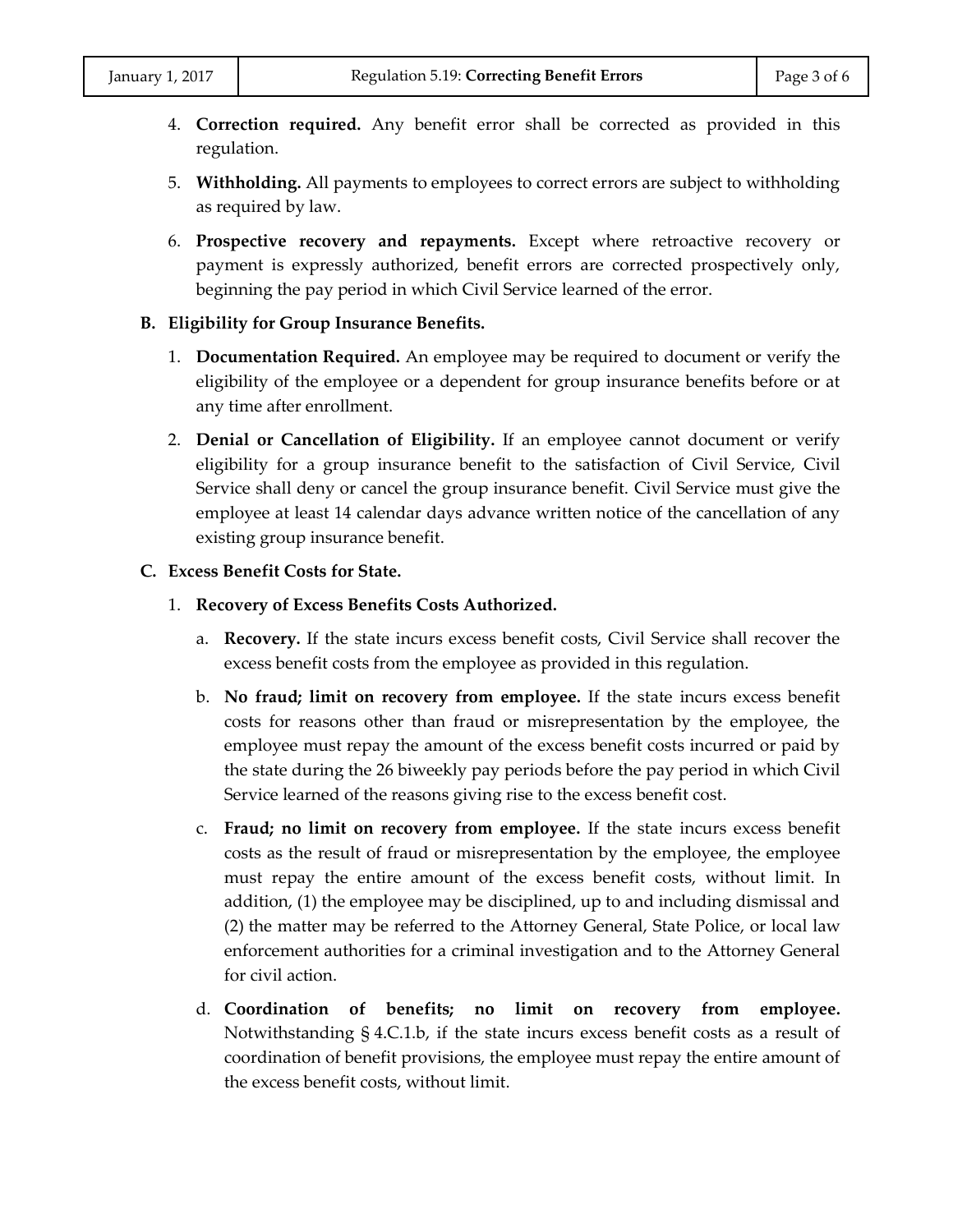- 4. **Correction required.** Any benefit error shall be corrected as provided in this regulation.
- 5. **Withholding.** All payments to employees to correct errors are subject to withholding as required by law.
- 6. **Prospective recovery and repayments.** Except where retroactive recovery or payment is expressly authorized, benefit errors are corrected prospectively only, beginning the pay period in which Civil Service learned of the error.

#### **B. Eligibility for Group Insurance Benefits.**

- 1. **Documentation Required.** An employee may be required to document or verify the eligibility of the employee or a dependent for group insurance benefits before or at any time after enrollment.
- 2. **Denial or Cancellation of Eligibility.** If an employee cannot document or verify eligibility for a group insurance benefit to the satisfaction of Civil Service, Civil Service shall deny or cancel the group insurance benefit. Civil Service must give the employee at least 14 calendar days advance written notice of the cancellation of any existing group insurance benefit.

#### **C. Excess Benefit Costs for State.**

- 1. **Recovery of Excess Benefits Costs Authorized.**
	- a. **Recovery.** If the state incurs excess benefit costs, Civil Service shall recover the excess benefit costs from the employee as provided in this regulation.
	- b. **No fraud; limit on recovery from employee.** If the state incurs excess benefit costs for reasons other than fraud or misrepresentation by the employee, the employee must repay the amount of the excess benefit costs incurred or paid by the state during the 26 biweekly pay periods before the pay period in which Civil Service learned of the reasons giving rise to the excess benefit cost.
	- c. **Fraud; no limit on recovery from employee.** If the state incurs excess benefit costs as the result of fraud or misrepresentation by the employee, the employee must repay the entire amount of the excess benefit costs, without limit. In addition, (1) the employee may be disciplined, up to and including dismissal and (2) the matter may be referred to the Attorney General, State Police, or local law enforcement authorities for a criminal investigation and to the Attorney General for civil action.
	- d. **Coordination of benefits; no limit on recovery from employee.** Notwithstanding § 4.C.1.b, if the state incurs excess benefit costs as a result of coordination of benefit provisions, the employee must repay the entire amount of the excess benefit costs, without limit.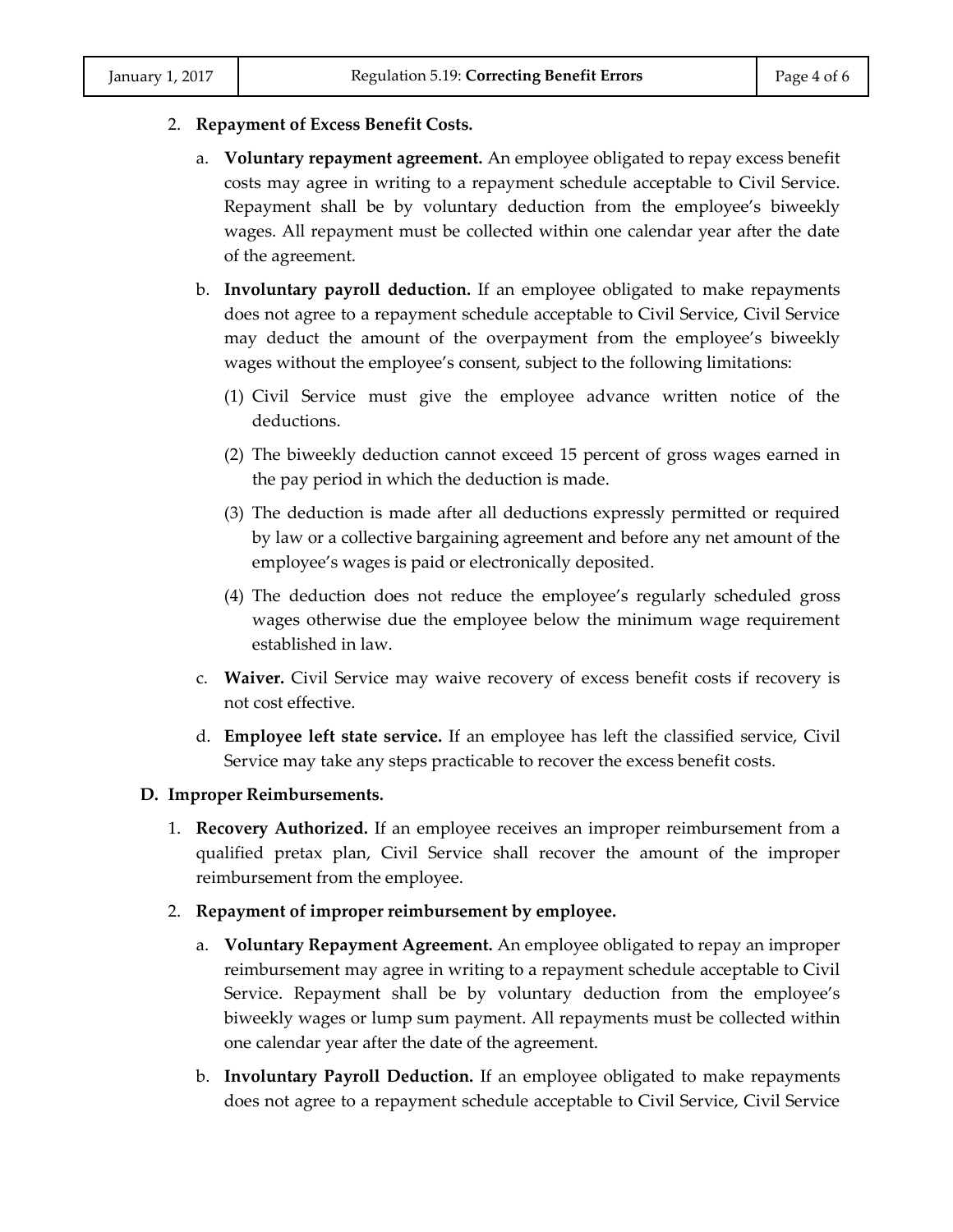#### 2. **Repayment of Excess Benefit Costs.**

- a. **Voluntary repayment agreement.** An employee obligated to repay excess benefit costs may agree in writing to a repayment schedule acceptable to Civil Service. Repayment shall be by voluntary deduction from the employee's biweekly wages. All repayment must be collected within one calendar year after the date of the agreement.
- b. **Involuntary payroll deduction.** If an employee obligated to make repayments does not agree to a repayment schedule acceptable to Civil Service, Civil Service may deduct the amount of the overpayment from the employee's biweekly wages without the employee's consent, subject to the following limitations:
	- (1) Civil Service must give the employee advance written notice of the deductions.
	- (2) The biweekly deduction cannot exceed 15 percent of gross wages earned in the pay period in which the deduction is made.
	- (3) The deduction is made after all deductions expressly permitted or required by law or a collective bargaining agreement and before any net amount of the employee's wages is paid or electronically deposited.
	- (4) The deduction does not reduce the employee's regularly scheduled gross wages otherwise due the employee below the minimum wage requirement established in law.
- c. **Waiver.** Civil Service may waive recovery of excess benefit costs if recovery is not cost effective.
- d. **Employee left state service.** If an employee has left the classified service, Civil Service may take any steps practicable to recover the excess benefit costs.

#### **D. Improper Reimbursements.**

- 1. **Recovery Authorized.** If an employee receives an improper reimbursement from a qualified pretax plan, Civil Service shall recover the amount of the improper reimbursement from the employee.
- 2. **Repayment of improper reimbursement by employee.**
	- a. **Voluntary Repayment Agreement.** An employee obligated to repay an improper reimbursement may agree in writing to a repayment schedule acceptable to Civil Service. Repayment shall be by voluntary deduction from the employee's biweekly wages or lump sum payment. All repayments must be collected within one calendar year after the date of the agreement.
	- b. **Involuntary Payroll Deduction.** If an employee obligated to make repayments does not agree to a repayment schedule acceptable to Civil Service, Civil Service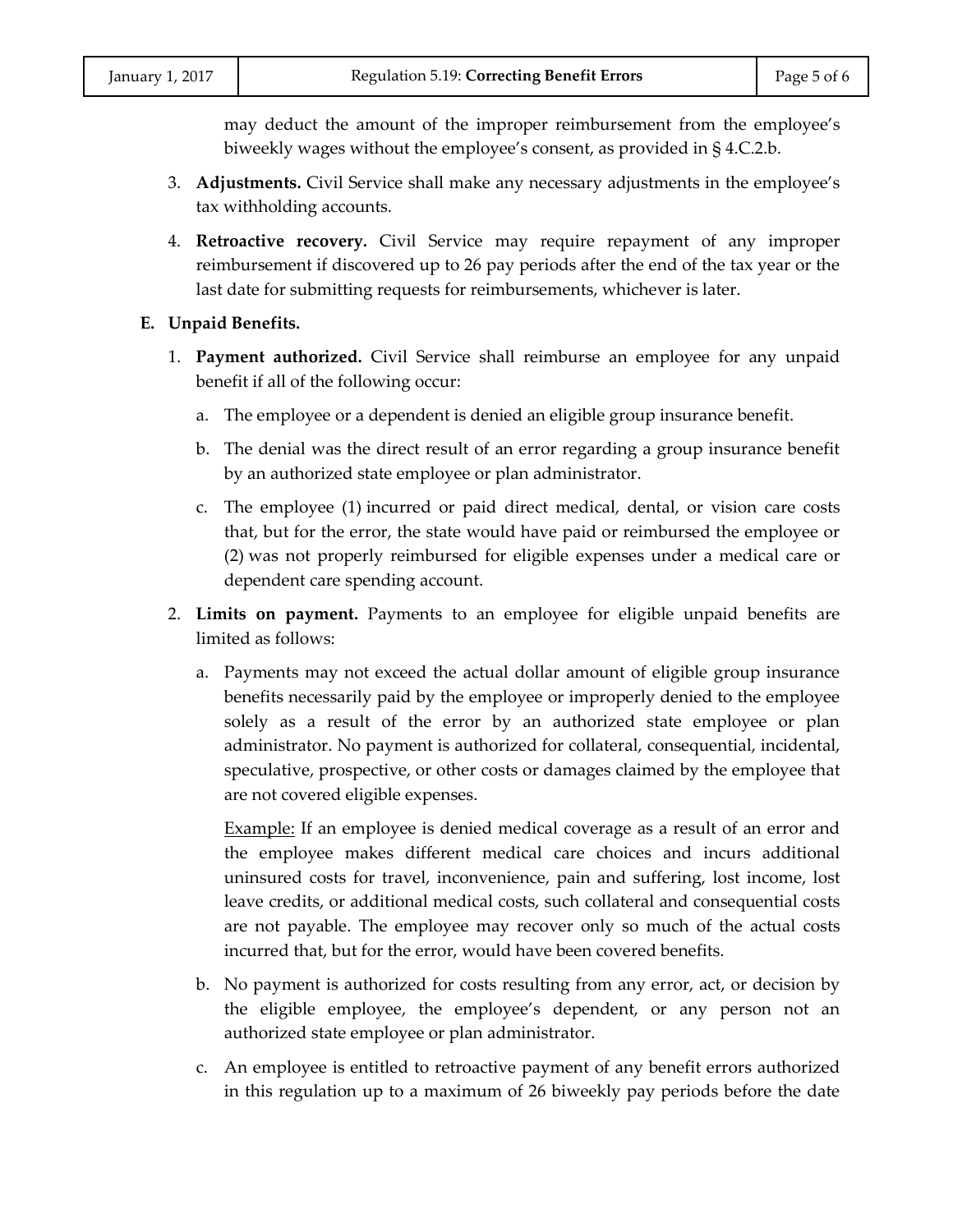may deduct the amount of the improper reimbursement from the employee's biweekly wages without the employee's consent, as provided in § 4.C.2.b.

- 3. **Adjustments.** Civil Service shall make any necessary adjustments in the employee's tax withholding accounts.
- 4. **Retroactive recovery.** Civil Service may require repayment of any improper reimbursement if discovered up to 26 pay periods after the end of the tax year or the last date for submitting requests for reimbursements, whichever is later.

#### **E. Unpaid Benefits.**

- 1. **Payment authorized.** Civil Service shall reimburse an employee for any unpaid benefit if all of the following occur:
	- a. The employee or a dependent is denied an eligible group insurance benefit.
	- b. The denial was the direct result of an error regarding a group insurance benefit by an authorized state employee or plan administrator.
	- c. The employee (1) incurred or paid direct medical, dental, or vision care costs that, but for the error, the state would have paid or reimbursed the employee or (2) was not properly reimbursed for eligible expenses under a medical care or dependent care spending account.
- 2. **Limits on payment.** Payments to an employee for eligible unpaid benefits are limited as follows:
	- a. Payments may not exceed the actual dollar amount of eligible group insurance benefits necessarily paid by the employee or improperly denied to the employee solely as a result of the error by an authorized state employee or plan administrator. No payment is authorized for collateral, consequential, incidental, speculative, prospective, or other costs or damages claimed by the employee that are not covered eligible expenses.

Example: If an employee is denied medical coverage as a result of an error and the employee makes different medical care choices and incurs additional uninsured costs for travel, inconvenience, pain and suffering, lost income, lost leave credits, or additional medical costs, such collateral and consequential costs are not payable. The employee may recover only so much of the actual costs incurred that, but for the error, would have been covered benefits.

- b. No payment is authorized for costs resulting from any error, act, or decision by the eligible employee, the employee's dependent, or any person not an authorized state employee or plan administrator.
- c. An employee is entitled to retroactive payment of any benefit errors authorized in this regulation up to a maximum of 26 biweekly pay periods before the date